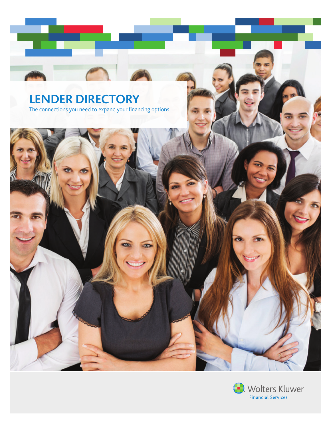# **LENDER DIRECTORY** The connections you need to expand your financing options.



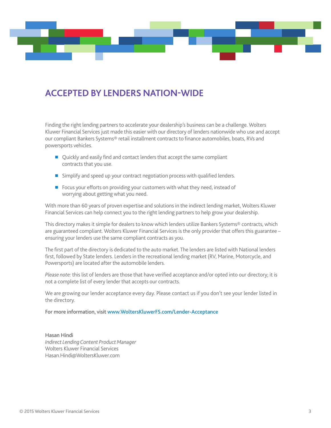# **ACCEPTED BY LENDERS NATION-WIDE**

Finding the right lending partners to accelerate your dealership's business can be a challenge. Wolters Kluwer Financial Services just made this easier with our directory of lenders nationwide who use and accept our compliant Bankers Systems® retail installment contracts to finance automobiles, boats, RVs and powersports vehicles.

- Quickly and easily find and contact lenders that accept the same compliant contracts that you use.
- Simplify and speed up your contract negotiation process with qualified lenders.
- Focus your efforts on providing your customers with what they need, instead of worrying about getting what you need.

With more than 60 years of proven expertise and solutions in the indirect lending market, Wolters Kluwer Financial Services can help connect you to the right lending partners to help grow your dealership.

This directory makes it simple for dealers to know which lenders utilize Bankers Systems® contracts, which are guaranteed compliant. Wolters Kluwer Financial Services is the only provider that offers this guarantee – ensuring your lenders use the same compliant contracts as you.

The first part of the directory is dedicated to the auto market. The lenders are listed with National lenders first, followed by State lenders. Lenders in the recreational lending market (RV, Marine, Motorcycle, and Powersports) are located after the automobile lenders.

*Please note:* this list of lenders are those that have verified acceptance and/or opted into our directory; it is not a complete list of every lender that accepts our contracts.

We are growing our lender acceptance every day. Please contact us if you don't see your lender listed in the directory.

For more information, visit www.WoltersKluwerFS.com/Lender-Acceptance

Hasan Hindi *Indirect Lending Content Product Manager* Wolters Kluwer Financial Services Hasan.Hindi@WoltersKluwer.com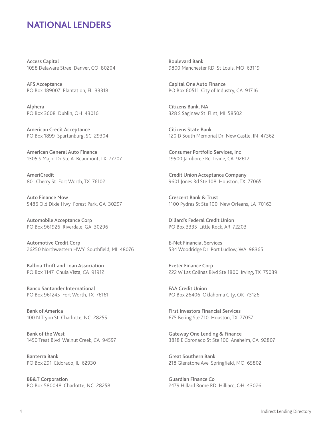# **NATIONAL LENDERS**

Access Capital 1058 Delaware Stree Denver, CO 80204

AFS Acceptance PO Box 189007 Plantation, FL 33318

Alphera PO Box 3608 Dublin, OH 43016

American Credit Acceptance PO Box 1899 Spartanburg, SC 29304

American General Auto Finance 1305 S Major Dr Ste A Beaumont, TX 77707

AmeriCredit 801 Cherry St Fort Worth, TX 76102

Auto Finance Now 5486 Old Dixie Hwy Forest Park, GA 30297

Automobile Acceptance Corp PO Box 961926 Riverdale, GA 30296

Automotive Credit Corp 26250 Northwestern HWY Southfield, MI 48076

Balboa Thrift and Loan Association PO Box 1147 Chula Vista, CA 91912

Banco Santander International PO Box 961245 Fort Worth, TX 76161

Bank of America 100 N Tryon St Charlotte, NC 28255

Bank of the West 1450 Treat Blvd Walnut Creek, CA 94597

Banterra Bank PO Box 291 Eldorado, IL 62930

BB&T Corporation PO Box 580048 Charlotte, NC 28258

Boulevard Bank 9800 Manchester RD St Louis, MO 63119

Capital One Auto Finance PO Box 60511 City of Industry, CA 91716

Citizens Bank, NA 328 S Saginaw St Flint, MI 58502

Citizens State Bank 120 D South Memorial Dr New Castle, IN 47362

Consumer Portfolio Services, Inc 19500 Jamboree Rd Irvine, CA 92612

Credit Union Acceptance Company 9601 Jones Rd Ste 108 Houston, TX 77065

Crescent Bank & Trust 1100 Pydras St Ste 100 New Orleans, LA 70163

Dillard's Federal Credit Union PO Box 3335 Little Rock, AR 72203

E-Net Financial Services 534 Woodridge Dr Port Ludlow, WA 98365

Exeter Finance Corp 222 W Las Colinas Blvd Ste 1800 Irving, TX 75039

FAA Credit Union PO Box 26406 Oklahoma City, OK 73126

First Investors Financial Services 675 Bering Ste 710 Houston, TX 77057

Gateway One Lending & Finance 3818 E Coronado St Ste 100 Anaheim, CA 92807

Great Southern Bank 218 Glenstone Ave Springfield, MO 65802

Guardian Finance Co 2479 Hillard Rome RD Hilliard, OH 43026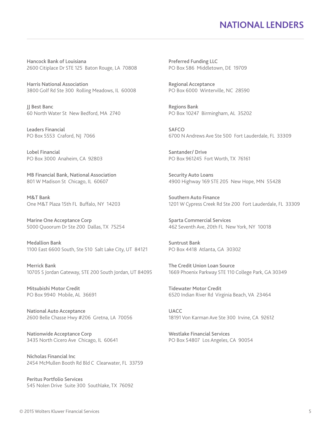# **NATIONAL LENDERS**

Hancock Bank of Louisiana 2600 Citiplace Dr STE 125 Baton Rouge, LA 70808

Harris National Association 3800 Golf Rd Ste 300 Rolling Meadows, IL 60008

JJ Best Banc 60 North Water St New Bedford, MA 2740

Leaders Financial PO Box 5553 Craford, NJ 7066

Lobel Financial PO Box 3000 Anaheim, CA 92803

MB Financial Bank, National Association 801 W Madison St Chicago, IL 60607

M&T Bank One M&T Plaza 15th FL Buffalo, NY 14203

Marine One Acceptance Corp 5000 Quoorum Dr Ste 200 Dallas, TX 75254

Medallion Bank 1100 East 6600 South, Ste 510 Salt Lake City, UT 84121

Merrick Bank 10705 S Jordan Gateway, STE 200 South Jordan, UT 84095

Mitsubishi Motor Credit PO Box 9940 Mobile, AL 36691

National Auto Acceptance 2600 Belle Chasse Hwy #206 Gretna, LA 70056

Nationwide Acceptance Corp 3435 North Cicero Ave Chicago, IL 60641

Nicholas Financial Inc 2454 McMullen Booth Rd Bld C Clearwater, FL 33759

Peritus Portfolio Services 545 Nolen Drive Suite 300 Southlake, TX 76092 Preferred Funding LLC PO Box 586 Middletown, DE 19709

Regional Acceptance PO Box 6000 Winterville, NC 28590

Regions Bank PO Box 10247 Birmingham, AL 35202

SAFCO 6700 N Andrews Ave Ste 500 Fort Lauderdale, FL 33309

Santander/ Drive PO Box 961245 Fort Worth, TX 76161

Security Auto Loans 4900 Highway 169 STE 205 New Hope, MN 55428

Southern Auto Finance 1201 W Cypress Creek Rd Ste 200 Fort Lauderdale, FL 33309

Sparta Commercial Services 462 Seventh Ave, 20th FL New York, NY 10018

Suntrust Bank PO Box 4418 Atlanta, GA 30302

The Credit Union Loan Source 1669 Phoenix Parkway STE 110 College Park, GA 30349

Tidewater Motor Credit 6520 Indian River Rd Virginia Beach, VA 23464

UACC 18191 Von Karman Ave Ste 300 Irvine, CA 92612

Westlake Financial Services PO Box 54807 Los Angeles, CA 90054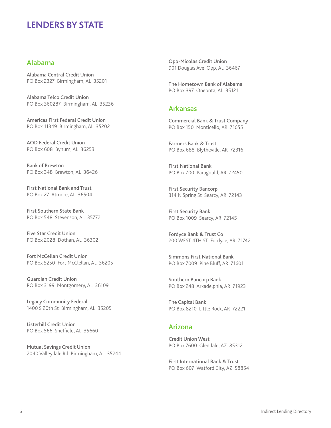### Alabama

Alabama Central Credit Union PO Box 2327 Birmingham, AL 35201

Alabama Telco Credit Union PO Box 360287 Birmingham, AL 35236

Americas First Federal Credit Union PO Box 11349 Birmingham, AL 35202

AOD Federal Credit Union PO Box 608 Bynum, AL 36253

Bank of Brewton PO Box 348 Brewton, AL 36426

First National Bank and Trust PO Box 27 Atmore, AL 36504

First Southern State Bank PO Box 548 Stevenson, AL 35772

Five Star Credit Union PO Box 2028 Dothan, AL 36302

Fort McCellan Credit Union PO Box 5250 Fort McClellan, AL 36205

Guardian Credit Union PO Box 3199 Montgomery, AL 36109

Legacy Community Federal 1400 S 20th St Birmingham, AL 35205

Listerhill Credit Union PO Box 566 Sheffield, AL 35660

Mutual Savings Credit Union 2040 Valleydale Rd Birmingham, AL 35244 Opp-Micolas Credit Union 901 Douglas Ave Opp, AL 36467

The Hometown Bank of Alabama PO Box 397 Oneonta, AL 35121

#### Arkansas

Commercial Bank & Trust Company PO Box 150 Monticello, AR 71655

Farmers Bank & Trust PO Box 688 Blytheville, AR 72316

First National Bank PO Box 700 Paragould, AR 72450

First Security Bancorp 314 N Spring St Searcy, AR 72143

First Security Bank PO Box 1009 Searcy, AR 72145

Fordyce Bank & Trust Co 200 WEST 4TH ST Fordyce, AR 71742

Simmons First National Bank PO Box 7009 Pine Bluff, AR 71601

Southern Bancorp Bank PO Box 248 Arkadelphia, AR 71923

The Capital Bank PO Box 8210 Little Rock, AR 72221

#### Arizona

Credit Union West PO Box 7600 Glendale, AZ 85312

First International Bank & Trust PO Box 607 Watford City, AZ 58854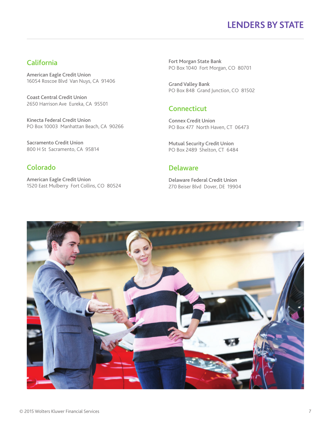### California

American Eagle Credit Union 16054 Roscoe Blvd Van Nuys, CA 91406

Coast Central Credit Union 2650 Harrison Ave Eureka, CA 95501

Kinecta Federal Credit Union PO Box 10003 Manhattan Beach, CA 90266

Sacramento Credit Union 800 H St Sacramento, CA 95814

### Colorado

American Eagle Credit Union 1520 East Mulberry Fort Collins, CO 80524 Fort Morgan State Bank PO Box 1040 Fort Morgan, CO 80701

Grand Valley Bank PO Box 848 Grand Junction, CO 81502

### **Connecticut**

Connex Credit Union PO Box 477 North Haven, CT 06473

Mutual Security Credit Union PO Box 2489 Shelton, CT 6484

### Delaware

Delaware Federal Credit Union 270 Beiser Blvd Dover, DE 19904

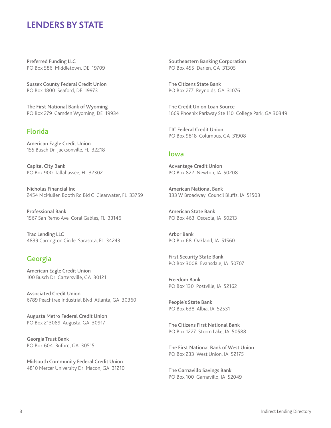Preferred Funding LLC PO Box 586 Middletown, DE 19709

Sussex County Federal Credit Union PO Box 1800 Seaford, DE 19973

The First National Bank of Wyoming PO Box 279 Camden Wyoming, DE 19934

### Florida

American Eagle Credit Union 155 Busch Dr Jacksonville, FL 32218

Capital City Bank PO Box 900 Tallahassee, FL 32302

Nicholas Financial Inc 2454 McMullen Booth Rd Bld C Clearwater, FL 33759

Professional Bank 1567 San Remo Ave Coral Gables, FL 33146

Trac Lending LLC 4839 Carrington Circle Sarasota, FL 34243

### Georgia

American Eagle Credit Union 100 Busch Dr Cartersville, GA 30121

Associated Credit Union 6789 Peachtree Industrial Blvd Atlanta, GA 30360

Augusta Metro Federal Credit Union PO Box 213089 Augusta, GA 30917

Georgia Trust Bank PO Box 604 Buford, GA 30515

Midsouth Community Federal Credit Union 4810 Mercer University Dr Macon, GA 31210

Southeastern Banking Corporation PO Box 455 Darien, GA 31305

The Citizens State Bank PO Box 277 Reynolds, GA 31076

The Credit Union Loan Source 1669 Phoenix Parkway Ste 110 College Park, GA 30349

TIC Federal Credit Union PO Box 9818 Columbus, GA 31908

#### Iowa

Advantage Credit Union PO Box 822 Newton, IA 50208

American National Bank 333 W Broadway Council Bluffs, IA 51503

American State Bank PO Box 463 Osceola, IA 50213

Arbor Bank PO Box 68 Oakland, IA 51560

First Security State Bank PO Box 3008 Evansdale, IA 50707

Freedom Bank PO Box 130 Postville, IA 52162

People's State Bank PO Box 638 Albia, IA 52531

The Citizens First National Bank PO Box 1227 Storm Lake, IA 50588

The First National Bank of West Union PO Box 233 West Union, IA 52175

The Garnavillo Savings Bank PO Box 100 Garnavillo, IA 52049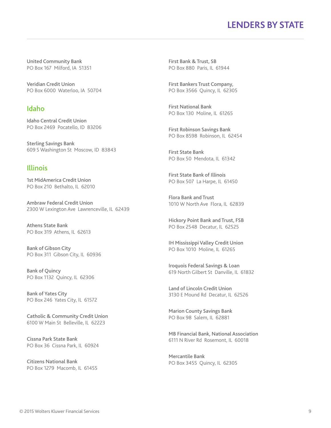United Community Bank PO Box 167 Milford, IA 51351

Veridian Credit Union PO Box 6000 Waterloo, IA 50704

### Idaho

Idaho Central Credit Union PO Box 2469 Pocatello, ID 83206

Sterling Savings Bank 609 S Washington St Moscow, ID 83843

### Illinois

1st MidAmerica Credit Union PO Box 210 Bethalto, IL 62010

Ambraw Federal Credit Union 2300 W Lexington Ave Lawrenceville, IL 62439

Athens State Bank PO Box 319 Athens, IL 62613

Bank of Gibson City PO Box 311 Gibson City, IL 60936

Bank of Quincy PO Box 1132 Quincy, IL 62306

Bank of Yates City PO Box 246 Yates City, IL 61572

Catholic & Community Credit Union 6100 W Main St Belleville, IL 62223

Cissna Park State Bank PO Box 36 Cissna Park, IL 60924

Citizens National Bank PO Box 1279 Macomb, IL 61455 First Bank & Trust, SB PO Box 880 Paris, IL 61944

First Bankers Trust Company, PO Box 3566 Quincy, IL 62305

First National Bank PO Box 130 Moline, IL 61265

First Robinson Savings Bank PO Box 8598 Robinson, IL 62454

First State Bank PO Box 50 Mendota, IL 61342

First State Bank of Illinois PO Box 507 La Harpe, IL 61450

Flora Bank and Trust 1010 W North Ave Flora, IL 62839

Hickory Point Bank and Trust, FSB PO Box 2548 Decatur, IL 62525

IH Mississippi Valley Credit Union PO Box 1010 Moline, IL 61265

Iroquois Federal Savings & Loan 619 North Gilbert St Danville, IL 61832

Land of Lincoln Credit Union 3130 E Mound Rd Decatur, IL 62526

Marion County Savings Bank PO Box 98 Salem, IL 62881

MB Financial Bank, National Association 6111 N River Rd Rosemont, IL 60018

Mercantile Bank PO Box 3455 Quincy, IL 62305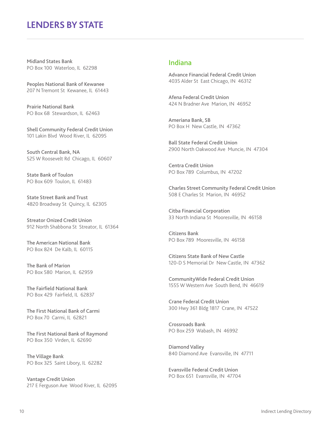Midland States Bank PO Box 100 Waterloo, IL 62298

Peoples National Bank of Kewanee 207 N Tremont St Kewanee, IL 61443

Prairie National Bank PO Box 68 Stewardson, IL 62463

Shell Community Federal Credit Union 101 Lakin Blvd Wood River, IL 62095

South Central Bank, NA 525 W Roosevelt Rd Chicago, IL 60607

State Bank of Toulon PO Box 609 Toulon, IL 61483

State Street Bank and Trust 4820 Broadway St Quincy, IL 62305

Streator Onized Credit Union 912 North Shabbona St Streator, IL 61364

The American National Bank PO Box 824 De Kalb, IL 60115

The Bank of Marion PO Box 580 Marion, IL 62959

The Fairfield National Bank PO Box 429 Fairfield, IL 62837

The First National Bank of Carmi PO Box 70 Carmi, IL 62821

The First National Bank of Raymond PO Box 350 Virden, IL 62690

The Village Bank PO Box 325 Saint Libory, IL 62282

Vantage Credit Union 217 E Ferguson Ave Wood River, IL 62095

#### Indiana

Advance Financial Federal Credit Union 4035 Alder St East Chicago, IN 46312

Afena Federal Credit Union 424 N Bradner Ave Marion, IN 46952

Ameriana Bank, SB PO Box H New Castle, IN 47362

Ball State Federal Credit Union 2900 North Oakwood Ave Muncie, IN 47304

Centra Credit Union PO Box 789 Columbus, IN 47202

Charles Street Community Federal Credit Union 508 E Charles St Marion, IN 46952

Citba Financial Corporation 33 North Indiana St Mooresville, IN 46158

Citizens Bank PO Box 789 Mooresville, IN 46158

Citizens State Bank of New Castle 120-D S Memorial Dr New Castle, IN 47362

CommunityWide Federal Credit Union 1555 W Western Ave South Bend, IN 46619

Crane Federal Credit Union 300 Hwy 361 Bldg 1817 Crane, IN 47522

Crossroads Bank PO Box 259 Wabash, IN 46992

Diamond Valley 840 Diamond Ave Evansville, IN 47711

Evansville Federal Credit Union PO Box 651 Evansville, IN 47704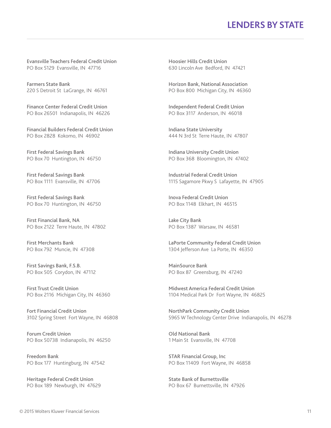Evansville Teachers Federal Credit Union PO Box 5129 Evansville, IN 47716

Farmers State Bank 220 S Detroit St LaGrange, IN 46761

Finance Center Federal Credit Union PO Box 26501 Indianapolis, IN 46226

Financial Builders Federal Credit Union PO Box 2828 Kokomo, IN 46902

First Federal Savings Bank PO Box 70 Huntington, IN 46750

First Federal Savings Bank PO Box 1111 Evansville, IN 47706

First Federal Savings Bank PO Box 70 Huntington, IN 46750

First Financial Bank, NA PO Box 2122 Terre Haute, IN 47802

First Merchants Bank PO Box 792 Muncie, IN 47308

First Savings Bank, F.S.B. PO Box 505 Corydon, IN 47112

First Trust Credit Union PO Box 2116 Michigan City, IN 46360

Fort Financial Credit Union 3102 Spring Street Fort Wayne, IN 46808

Forum Credit Union PO Box 50738 Indianapolis, IN 46250

Freedom Bank PO Box 177 Huntingburg, IN 47542

Heritage Federal Credit Union PO Box 189 Newburgh, IN 47629 Hoosier Hills Credit Union 630 Lincoln Ave Bedford, IN 47421

Horizon Bank, National Association PO Box 800 Michigan City, IN 46360

Independent Federal Credit Union PO Box 3117 Anderson, IN 46018

Indiana State University 444 N 3rd St Terre Haute, IN 47807

Indiana University Credit Union PO Box 368 Bloomington, IN 47402

Industrial Federal Credit Union 1115 Sagamore Pkwy S Lafayette, IN 47905

Inova Federal Credit Union PO Box 1148 Elkhart, IN 46515

Lake City Bank PO Box 1387 Warsaw, IN 46581

LaPorte Community Federal Credit Union 1304 Jefferson Ave La Porte, IN 46350

MainSource Bank PO Box 87 Greensburg, IN 47240

Midwest America Federal Credit Union 1104 Medical Park Dr Fort Wayne, IN 46825

NorthPark Community Credit Union 5965 W Technology Center Drive Indianapolis, IN 46278

Old National Bank 1 Main St Evansville, IN 47708

STAR Financial Group, Inc PO Box 11409 Fort Wayne, IN 46858

State Bank of Burnettsville PO Box 67 Burnettsville, IN 47926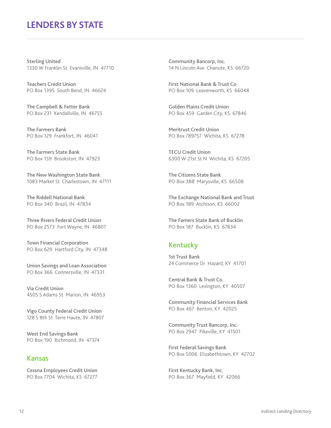Sterling United 1330 W Franklin St Evansville, IN 47710

Teachers Credit Union PO Box 1395 South Bend, IN 46624

The Campbell & Fetter Bank PO Box 231 Kendallville, IN 46755

The Farmers Bank PO Box 129 Frankfort, IN 46041

The Farmers State Bank PO Box 159 Brookston, IN 47923

The New Washington State Bank 1083 Market St Charlestown, IN 47111

The Riddell National Bank PO Box 340 Brazil, IN 47834

Three Rivers Federal Credit Union PO Box 2573 Fort Wayne, IN 46801

Town Financial Corporation PO Box 629 Hartford City, IN 47348

Union Savings and Loan Association PO Box 366 Connersville, IN 47331

Via Credit Union 4505 S Adams St Marion, IN 46953

Vigo County Federal Credit Union 128 S 8th St Terre Haute, IN 47807

West End Savings Bank PO Box 190 Richmond, IN 47374

#### Kansas

Cessna Employees Credit Union PO Box 7704 Wichita, KS 67277

Community Bancorp, Inc. 14 N Lincoln Ave Chanute, KS 66720

First National Bank & Trust Co PO Box 109 Leavenworth, KS 66048

Golden Plains Credit Union PO Box 459 Garden City, KS 67846

Meritrust Credit Union PO Box 789757 Wichita, KS 67278

TECU Credit Union 6300 W 21st St N Wichita, KS 67205

The Citizens State Bank PO Box 388 Marysville, KS 66508

The Exchange National Bank and Trust PO Box 189 Atchison, KS 66002

The Famers State Bank of Bucklin PO Box 187 Bucklin, KS 67834

### Kentucky

1st Trust Bank 24 Commerce Dr Hazard, KY 41701

Central Bank & Trust Co. PO Box 1360 Lexington, KY 40507

Community Financial Services Bank PO Box 467 Benton, KY 42025

Community Trust Bancorp, Inc. PO Box 2947 Pikeville, KY 41501

First Federal Savings Bank PO Box 5006 Elizabethtown, KY 42702

First Kentucky Bank, Inc. PO Box 367 Mayfield, KY 42066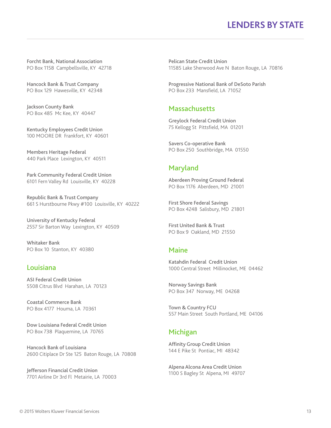Forcht Bank, National Association PO Box 1158 Campbellsville, KY 42718

Hancock Bank & Trust Company PO Box 129 Hawesville, KY 42348

Jackson County Bank PO Box 485 Mc Kee, KY 40447

Kentucky Employees Credit Union 100 MOORE DR Frankfort, KY 40601

Members Heritage Federal 440 Park Place Lexington, KY 40511

Park Community Federal Credit Union 6101 Fern Valley Rd Louisville, KY 40228

Republic Bank & Trust Company 661 S Hurstbourne Pkwy #100 Louisville, KY 40222

University of Kentucky Federal 2557 Sir Barton Way Lexington, KY 40509

Whitaker Bank PO Box 10 Stanton, KY 40380

#### Louisiana

ASI Federal Credit Union 5508 Citrus Blvd Harahan, LA 70123

Coastal Commerce Bank PO Box 4177 Houma, LA 70361

Dow Louisiana Federal Credit Union PO Box 738 Plaquemine, LA 70765

Hancock Bank of Louisiana 2600 Citiplace Dr Ste 125 Baton Rouge, LA 70808

Jefferson Financial Credit Union 7701 Airline Dr 3rd Fl Metairie, LA 70003

Pelican State Credit Union 11585 Lake Sherwood Ave N Baton Rouge, LA 70816

Progressive National Bank of DeSoto Parish PO Box 233 Mansfield, LA 71052

### **Massachusetts**

Greylock Federal Credit Union 75 Kellogg St Pittsfield, MA 01201

Savers Co-operative Bank PO Box 250 Southbridge, MA 01550

#### Maryland

Aberdeen Proving Ground Federal PO Box 1176 Aberdeen, MD 21001

First Shore Federal Savings PO Box 4248 Salisbury, MD 21801

First United Bank & Trust PO Box 9 Oakland, MD 21550

#### Maine

Katahdin Federal Credit Union 1000 Central Street Millinocket, ME 04462

Norway Savings Bank PO Box 347 Norway, ME 04268

Town & Country FCU 557 Main Street South Portland, ME 04106

#### Michigan

Affinity Group Credit Union 144 E Pike St Pontiac, MI 48342

Alpena Alcona Area Credit Union 1100 S Bagley St Alpena, MI 49707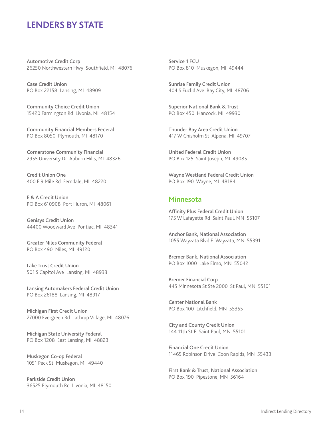Automotive Credit Corp 26250 Northwestern Hwy Southfield, MI 48076

Case Credit Union PO Box 22158 Lansing, MI 48909

Community Choice Credit Union 15420 Farmington Rd Livonia, MI 48154

Community Financial Members Federal PO Box 8050 Plymouth, MI 48170

Cornerstone Community Financial 2955 University Dr Auburn Hills, MI 48326

Credit Union One 400 E 9 Mile Rd Ferndale, MI 48220

E & A Credit Union PO Box 610908 Port Huron, MI 48061

Genisys Credit Union 44400 Woodward Ave Pontiac, MI 48341

Greater Niles Community Federal PO Box 490 Niles, MI 49120

Lake Trust Credit Union 501 S Capitol Ave Lansing, MI 48933

Lansing Automakers Federal Credit Union PO Box 26188 Lansing, MI 48917

Michigan First Credit Union 27000 Evergreen Rd Lathrup Village, MI 48076

Michigan State University Federal PO Box 1208 East Lansing, MI 48823

Muskegon Co-op Federal 1051 Peck St Muskegon, MI 49440

Parkside Credit Union 36525 Plymouth Rd Livonia, MI 48150 Service 1 FCU PO Box 810 Muskegon, MI 49444

Sunrise Family Credit Union 404 S Euclid Ave Bay City, MI 48706

Superior National Bank & Trust PO Box 450 Hancock, MI 49930

Thunder Bay Area Credit Union 417 W Chisholm St Alpena, MI 49707

United Federal Credit Union PO Box 125 Saint Joseph, MI 49085

Wayne Westland Federal Credit Union PO Box 190 Wayne, MI 48184

#### Minnesota

Affinity Plus Federal Credit Union 175 W Lafayette Rd Saint Paul, MN 55107

Anchor Bank, National Association 1055 Wayzata Blvd E Wayzata, MN 55391

Bremer Bank, National Association PO Box 1000 Lake Elmo, MN 55042

Bremer Financial Corp 445 Minnesota St Ste 2000 St Paul, MN 55101

Center National Bank PO Box 100 Litchfield, MN 55355

City and County Credit Union 144 11th St E Saint Paul, MN 55101

Financial One Credit Union 11465 Robinson Drive Coon Rapids, MN 55433

First Bank & Trust, National Association PO Box 190 Pipestone, MN 56164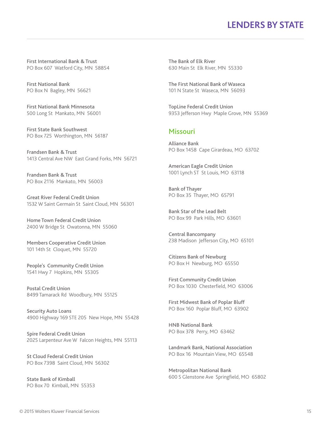First International Bank & Trust PO Box 607 Watford City, MN 58854

First National Bank PO Box N Bagley, MN 56621

First National Bank Minnesota 500 Long St Mankato, MN 56001

First State Bank Southwest PO Box 725 Worthington, MN 56187

Frandsen Bank & Trust 1413 Central Ave NW East Grand Forks, MN 56721

Frandsen Bank & Trust PO Box 2116 Mankato, MN 56003

Great River Federal Credit Union 1532 W Saint Germain St Saint Cloud, MN 56301

Home Town Federal Credit Union 2400 W Bridge St Owatonna, MN 55060

Members Cooperative Credit Union 101 14th St Cloquet, MN 55720

People's Community Credit Union 1541 Hwy 7 Hopkins, MN 55305

Postal Credit Union 8499 Tamarack Rd Woodbury, MN 55125

Security Auto Loans 4900 Highway 169 STE 205 New Hope, MN 55428

Spire Federal Credit Union 2025 Larpenteur Ave W Falcon Heights, MN 55113

St Cloud Federal Credit Union PO Box 7398 Saint Cloud, MN 56302

State Bank of Kimball PO Box 70 Kimball, MN 55353 The Bank of Elk River 630 Main St Elk River, MN 55330

The First National Bank of Waseca 101 N State St Waseca, MN 56093

TopLine Federal Credit Union 9353 Jefferson Hwy Maple Grove, MN 55369

### Missouri

Alliance Bank PO Box 1458 Cape Girardeau, MO 63702

American Eagle Credit Union 1001 Lynch ST St Louis, MO 63118

Bank of Thayer PO Box 35 Thayer, MO 65791

Bank Star of the Lead Belt PO Box 99 Park Hills, MO 63601

Central Bancompany 238 Madison Jefferson City, MO 65101

Citizens Bank of Newburg PO Box H Newburg, MO 65550

First Community Credit Union PO Box 1030 Chesterfield, MO 63006

First Midwest Bank of Poplar Bluff PO Box 160 Poplar Bluff, MO 63902

HNB National Bank PO Box 378 Perry, MO 63462

Landmark Bank, National Association PO Box 16 Mountain View, MO 65548

Metropolitan National Bank 600 S Glenstone Ave Springfield, MO 65802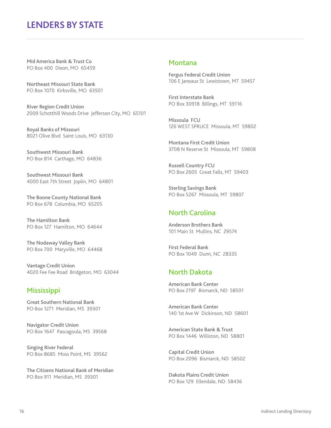Mid America Bank & Trust Co PO Box 400 Dixon, MO 65459

Northeast Missouri State Bank PO Box 1070 Kirksville, MO 63501

River Region Credit Union 2009 Schotthill Woods Drive Jefferson City, MO 65101

Royal Banks of Missouri 8021 Olive Blvd Saint Louis, MO 63130

Southwest Missouri Bank PO Box 814 Carthage, MO 64836

Southwest Missouri Bank 4000 East 7th Street Joplin, MO 64801

The Boone County National Bank PO Box 678 Columbia, MO 65205

The Hamilton Bank PO Box 127 Hamilton, MO 64644

The Nodaway Valley Bank PO Box 700 Maryville, MO 64468

Vantage Credit Union 4020 Fee Fee Road Bridgeton, MO 63044

#### **Mississippi**

Great Southern National Bank PO Box 1271 Meridian, MS 39301

Navigator Credit Union PO Box 1647 Pascagoula, MS 39568

Singing River Federal PO Box 8685 Moss Point, MS 39562

The Citizens National Bank of Meridian PO Box 911 Meridian, MS 39301

#### Montana

Fergus Federal Credit Union 106 E Janeaux St Lewistown, MT 59457

First Interstate Bank PO Box 30918 Billings, MT 59116

Missoula FCU 126 WEST SPRUCE Missoula, MT 59802

Montana First Credit Union 3708 N Reserve St Missoula, MT 59808

Russell Country FCU PO Box 2605 Great Falls, MT 59403

Sterling Savings Bank PO Box 5267 Missoula, MT 59807

### North Carolina

Anderson Brothers Bank 101 Main St Mullins, NC 29574

First Federal Bank PO Box 1049 Dunn, NC 28335

### North Dakota

American Bank Center PO Box 2197 Bismarck, ND 58501

American Bank Center 140 1st Ave W Dickinson, ND 58601

American State Bank & Trust PO Box 1446 Williston, ND 58801

Capital Credit Union PO Box 2096 Bismarck, ND 58502

Dakota Plains Credit Union PO Box 129 Ellendale, ND 58436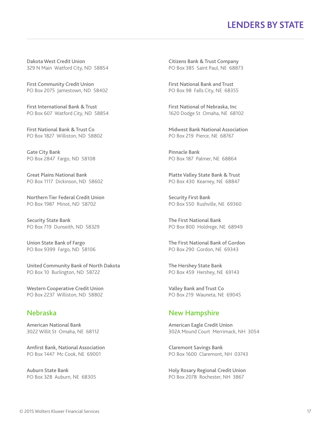Dakota West Credit Union 329 N Main Watford City, ND 58854

First Community Credit Union PO Box 2075 Jamestown, ND 58402

First International Bank & Trust PO Box 607 Watford City, ND 58854

First National Bank & Trust Co PO Box 1827 Williston, ND 58802

Gate City Bank PO Box 2847 Fargo, ND 58108

Great Plains National Bank PO Box 1117 Dickinson, ND 58602

Northern Tier Federal Credit Union PO Box 1987 Minot, ND 58702

Security State Bank PO Box 719 Dunseith, ND 58329

Union State Bank of Fargo PO Box 9399 Fargo, ND 58106

United Community Bank of North Dakota PO Box 10 Burlington, ND 58722

Western Cooperative Credit Union PO Box 2237 Williston, ND 58802

### Nebraska

American National Bank 3022 Willit St Omaha, NE 68112

Amfirst Bank, National Association PO Box 1447 Mc Cook, NE 69001

Auburn State Bank PO Box 328 Auburn, NE 68305

Citizens Bank & Trust Company PO Box 385 Saint Paul, NE 68873

First National Bank and Trust PO Box 98 Falls City, NE 68355

First National of Nebraska, Inc 1620 Dodge St Omaha, NE 68102

Midwest Bank National Association PO Box 219 Pierce, NE 68767

Pinnacle Bank PO Box 187 Palmer, NE 68864

Platte Valley State Bank & Trust PO Box 430 Kearney, NE 68847

Security First Bank PO Box 550 Rushville, NE 69360

The First National Bank PO Box 800 Holdrege, NE 68949

The First National Bank of Gordon PO Box 290 Gordon, NE 69343

The Hershey State Bank PO Box 459 Hershey, NE 69143

Valley Bank and Trust Co PO Box 219 Wauneta, NE 69045

### New Hampshire

American Eagle Credit Union 302A Mound Court Merrimack, NH 3054

Claremont Savings Bank PO Box 1600 Claremont, NH 03743

Holy Rosary Regional Credit Union PO Box 2078 Rochester, NH 3867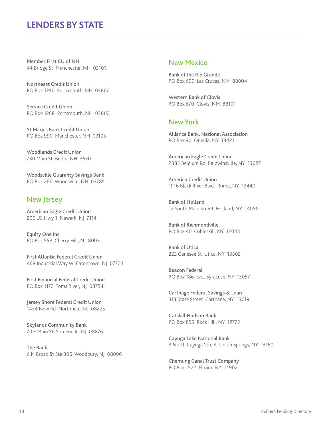Member First CU of NH 44 Bridge St Manchester, NH 03101

Northeast Credit Union PO Box 1240 Portsmouth, NH 03802

Service Credit Union PO Box 1268 Portsmouth, NH 03802

St Mary's Bank Credit Union PO Box 990 Manchester, NH 03105

Woodlands Credit Union 730 Main St Berlin, NH 3570

Woodsville Guaranty Savings Bank PO Box 266 Woodsville, NH 03785

#### New Jersey

American Eagle Credit Union 200 US Hwy 1 Newark, NJ 7114

Equity One Inc PO Box 558 Cherry Hill, NJ 8003

First Atlantic Federal Credit Union 468 Industrial Way W Eatontown, NJ 07724

First Financial Federal Credit Union PO Box 1172 Toms River, NJ 08754

Jersey Shore Federal Credit Union 1434 New Rd Northfield, NJ 08225

Skylands Community Bank 70 E Main St Somerville, NJ 08876

The Bank 6 N Broad St Ste 306 Woodbury, NJ 08096

### New Mexico

Bank of the Rio Grande PO Box 699 Las Cruces, NM 88004

Western Bank of Clovis PO Box 670 Clovis, NM 88101

#### New York

Alliance Bank, National Association PO Box 90 Oneida, NY 13421

American Eagle Credit Union 2885 Belgium Rd Baldwinsville, NY 13027

Americu Credit Union 1916 Black River Blvd. Rome, NY 13440

Bank of Holland 12 South Main Street Holland, NY 14080

Bank of Richmondville PO Box 40 Cobleskill, NY 12043

Bank of Utica 222 Genesee St Utica, NY 13502

Beacon Federal PO Box 186 East Syracuse, NY 13057

Carthage Federal Savings & Loan 313 State Street Carthage, NY 13619

Catskill Hudson Bank PO Box 855 Rock Hill, NY 12775

Cayuga Lake National Bank 3 North Cayuga Street Union Springs, NY 13160

Chemung Canal Trust Company PO Box 1522 Elmira, NY 14902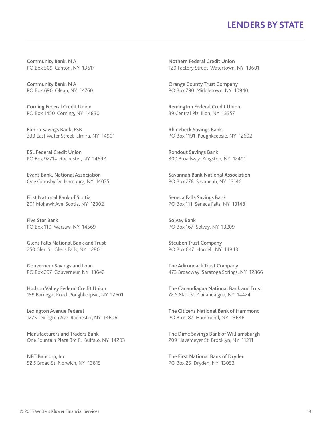Community Bank, N A PO Box 509 Canton, NY 13617

Community Bank, N A PO Box 690 Olean, NY 14760

Corning Federal Credit Union PO Box 1450 Corning, NY 14830

Elmira Savings Bank, FSB 333 East Water Street Elmira, NY 14901

ESL Federal Credit Union PO Box 92714 Rochester, NY 14692

Evans Bank, National Association One Grimsby Dr Hamburg, NY 14075

First National Bank of Scotia 201 Mohawk Ave Scotia, NY 12302

Five Star Bank PO Box 110 Warsaw, NY 14569

Glens Falls National Bank and Trust 250 Glen St Glens Falls, NY 12801

Gouverneur Savings and Loan PO Box 297 Gouverneur, NY 13642

Hudson Valley Federal Credit Union 159 Barnegat Road Poughkeepsie, NY 12601

Lexington Avenue Federal 1275 Lexington Ave Rochester, NY 14606

Manufacturers and Traders Bank One Fountain Plaza 3rd Fl Buffalo, NY 14203

NBT Bancorp, Inc 52 S Broad St Norwich, NY 13815 Nothern Federal Credit Union 120 Factory Street Watertown, NY 13601

Orange County Trust Company PO Box 790 Middletown, NY 10940

Remington Federal Credit Union 39 Central Plz Ilion, NY 13357

Rhinebeck Savings Bank PO Box 1191 Poughkeepsie, NY 12602

Rondout Savings Bank 300 Broadway Kingston, NY 12401

Savannah Bank National Association PO Box 278 Savannah, NY 13146

Seneca Falls Savings Bank PO Box 111 Seneca Falls, NY 13148

Solvay Bank PO Box 167 Solvay, NY 13209

Steuben Trust Company PO Box 647 Hornell, NY 14843

The Adirondack Trust Company 473 Broadway Saratoga Springs, NY 12866

The Canandiagua National Bank and Trust 72 S Main St Canandaigua, NY 14424

The Citizens National Bank of Hammond PO Box 187 Hammond, NY 13646

The Dime Savings Bank of Williamsburgh 209 Havemeyer St Brooklyn, NY 11211

The First National Bank of Dryden PO Box 25 Dryden, NY 13053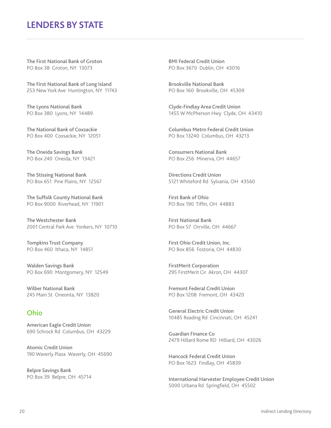The First National Bank of Groton PO Box 38 Groton, NY 13073

The First National Bank of Long Island 253 New York Ave Huntington, NY 11743

The Lyons National Bank PO Box 380 Lyons, NY 14489

The National Bank of Coxsackie PO Box 400 Coxsackie, NY 12051

The Oneida Savings Bank PO Box 240 Oneida, NY 13421

The Stissing National Bank PO Box 651 Pine Plains, NY 12567

The Suffolk County National Bank PO Box 9000 Riverhead, NY 11901

The Westchester Bank 2001 Central Park Ave Yonkers, NY 10710

Tompkins Trust Company PO Box 460 Ithaca, NY 14851

Walden Savings Bank PO Box 690 Montgomery, NY 12549

Wilber National Bank 245 Main St Oneonta, NY 13820

### Ohio

American Eagle Credit Union 690 Schrock Rd Columbus, OH 43229

Atomic Credit Union 190 Waverly Plaza Waverly, OH 45690

Belpre Savings Bank PO Box 39 Belpre, OH 45714 BMI Federal Credit Union PO Box 3670 Dublin, OH 43016

Brookville National Bank PO Box 160 Brookville, OH 45309

Clyde-Findlay Area Credit Union 1455 W McPherson Hwy Clyde, OH 43410

Columbus Metro Federal Credit Union PO Box 13240 Columbus, OH 43213

Consumers National Bank PO Box 256 Minerva, OH 44657

Directions Credit Union 5121 Whiteford Rd Sylvania, OH 43560

First Bank of Ohio PO Box 190 Tiffin, OH 44883

First National Bank PO Box 57 Orrville, OH 44667

First Ohio Credit Union, Inc. PO Box 856 Fostoria, OH 44830

FirstMerit Corporation 295 FirstMerit Cir Akron, OH 44307

Fremont Federal Credit Union PO Box 1208 Fremont, OH 43420

General Electric Credit Union 10485 Reading Rd Cincinnati, OH 45241

Guardian Finance Co 2479 Hillard Rome RD Hilliard, OH 43026

Hancock Federal Credit Union PO Box 1623 Findlay, OH 45839

International Harvester Employee Credit Union 5000 Urbana Rd Springfield, OH 45502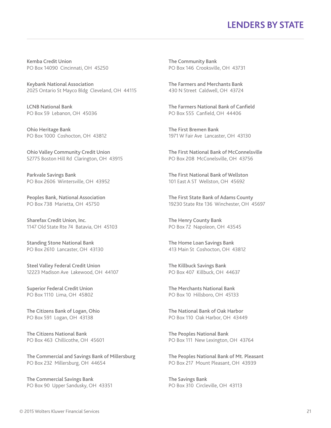Kemba Credit Union PO Box 14090 Cincinnati, OH 45250

Keybank National Association 2025 Ontario St Mayco Bldg Cleveland, OH 44115

LCNB National Bank PO Box 59 Lebanon, OH 45036

Ohio Heritage Bank PO Box 1000 Coshocton, OH 43812

Ohio Valley Community Credit Union 52775 Boston Hill Rd Clarington, OH 43915

Parkvale Savings Bank PO Box 2606 Wintersville, OH 43952

Peoples Bank, National Association PO Box 738 Marietta, OH 45750

Sharefax Credit Union, Inc. 1147 Old State Rte 74 Batavia, OH 45103

Standing Stone National Bank PO Box 2610 Lancaster, OH 43130

Steel Valley Federal Credit Union 12223 Madison Ave Lakewood, OH 44107

Superior Federal Credit Union PO Box 1110 Lima, OH 45802

The Citizens Bank of Logan, Ohio PO Box 591 Logan, OH 43138

The Citizens National Bank PO Box 463 Chillicothe, OH 45601

The Commercial and Savings Bank of Millersburg PO Box 232 Millersburg, OH 44654

The Commercial Savings Bank PO Box 90 Upper Sandusky, OH 43351 The Community Bank PO Box 146 Crooksville, OH 43731

The Farmers and Merchants Bank 430 N Street Caldwell, OH 43724

The Farmers National Bank of Canfield PO Box 555 Canfield, OH 44406

The First Bremen Bank 1971 W Fair Ave Lancaster, OH 43130

The First National Bank of McConnelsville PO Box 208 McConelsville, OH 43756

The First National Bank of Wellston 101 East A ST Wellston, OH 45692

The First State Bank of Adams County 19230 State Rte 136 Winchester, OH 45697

The Henry County Bank PO Box 72 Napoleon, OH 43545

The Home Loan Savings Bank 413 Main St Coshocton, OH 43812

The Killbuck Savings Bank PO Box 407 Killbuck, OH 44637

The Merchants National Bank PO Box 10 Hillsboro, OH 45133

The National Bank of Oak Harbor PO Box 110 Oak Harbor, OH 43449

The Peoples National Bank PO Box 111 New Lexington, OH 43764

The Peoples National Bank of Mt. Pleasant PO Box 217 Mount Pleasant, OH 43939

The Savings Bank PO Box 310 Circleville, OH 43113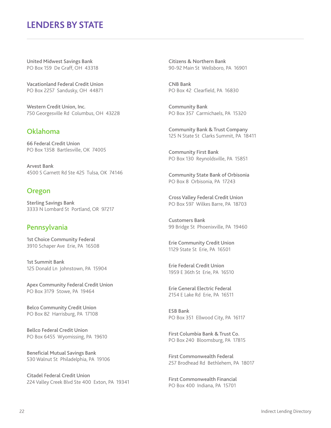United Midwest Savings Bank PO Box 159 De Graff, OH 43318

Vacationland Federal Credit Union PO Box 2257 Sandusky, OH 44871

Western Credit Union, Inc. 750 Georgesville Rd Columbus, OH 43228

### Oklahoma

66 Federal Credit Union PO Box 1358 Bartlesville, OK 74005

Arvest Bank 4500 S Garnett Rd Ste 425 Tulsa, OK 74146

### Oregon

Sterling Savings Bank 3333 N Lombard St Portland, OR 97217

### Pennsylvania

1st Choice Community Federal 3910 Schaper Ave Erie, PA 16508

1st Summit Bank 125 Donald Ln Johnstown, PA 15904

Apex Community Federal Credit Union PO Box 3179 Stowe, PA 19464

Belco Community Credit Union PO Box 82 Harrisburg, PA 17108

Bellco Federal Credit Union PO Box 6455 Wyomissing, PA 19610

Beneficial Mutual Savings Bank 530 Walnut St Philadelphia, PA 19106

Citadel Federal Credit Union 224 Valley Creek Blvd Ste 400 Exton, PA 19341 Citizens & Northern Bank 90-92 Main St Wellsboro, PA 16901

CNB Bank PO Box 42 Clearfield, PA 16830

Community Bank PO Box 357 Carmichaels, PA 15320

Community Bank & Trust Company 125 N State St Clarks Summit, PA 18411

Community First Bank PO Box 130 Reynoldsville, PA 15851

Community State Bank of Orbisonia PO Box 8 Orbisonia, PA 17243

Cross Valley Federal Credit Union PO Box 597 Wilkes Barre, PA 18703

Customers Bank 99 Bridge St Phoenixville, PA 19460

Erie Community Credit Union 1129 State St Erie, PA 16501

Erie Federal Credit Union 1959 E 36th St Erie, PA 16510

Erie General Electric Federal 2154 E Lake Rd Erie, PA 16511

ESB Bank PO Box 351 Ellwood City, PA 16117

First Columbia Bank & Trust Co. PO Box 240 Bloomsburg, PA 17815

First Commonwealth Federal 257 Brodhead Rd Bethlehem, PA 18017

First Commonwealth Financial PO Box 400 Indiana, PA 15701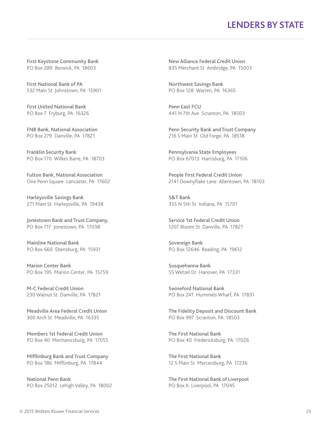First Keystone Community Bank PO Box 289 Berwick, PA 18603

First National Bank of PA 532 Main St Johnstown, PA 15901

First United National Bank PO Box 7 Fryburg, PA 16326

FNB Bank, National Association PO Box 279 Danville, PA 17821

Franklin Security Bank PO Box 170 Wilkes Barre, PA 18703

Fulton Bank, National Association One Penn Square Lancaster, PA 17602

Harleysville Savings Bank 271 Main St Harleysville, PA 19438

Jonestown Bank and Trust Company, PO Box 717 Jonestown, PA 17038

Mainline National Bank PO Box 660 Ebensburg, PA 15931

Marion Center Bank PO Box 195 Marion Center, PA 15759

M-C Federal Credit Union 230 Walnut St Danville, PA 17821

Meadville Area Federal Credit Union 300 Arch St Meadville, PA 16335

Members 1st Federal Credit Union PO Box 40 Mechanicsburg, PA 17055

Mifflinburg Bank and Trust Company PO Box 186 Mifflinburg, PA 17844

National Penn Bank PO Box 25012 Lehigh Valley, PA 18002

New Alliance Federal Credit Union 835 Merchant St Ambridge, PA 15003

Northwest Savings Bank PO Box 128 Warren, PA 16365

Penn East FCU 441 N 7th Ave Scranton, PA 18503

Penn Security Bank and Trust Company 216 S Main St Old Forge, PA 18518

Pennsylvania State Employees PO Box 67013 Harrisburg, PA 17106

People First Federal Credit Union 2141 Downyflake Lane Allentown, PA 18103

S&T Bank 355 N 5th St Indiana, PA 15701

Service 1st Federal Credit Union 1207 Bloom St Danville, PA 17821

Sovereign Bank PO Box 12646 Reading, PA 19612

Susquehanna Bank 55 Wetzel Dr Hanover, PA 17331

Swineford National Bank PO Box 241 Hummels Wharf, PA 17831

The Fidelity Deposit and Discount Bank PO Box 997 Scranton, PA 18503

The First National Bank PO Box 40 Fredericksburg, PA 17026

The First National Bank 12 S Main St Mercersburg, PA 17236

The First National Bank of Liverpool PO Box A Liverpool, PA 17045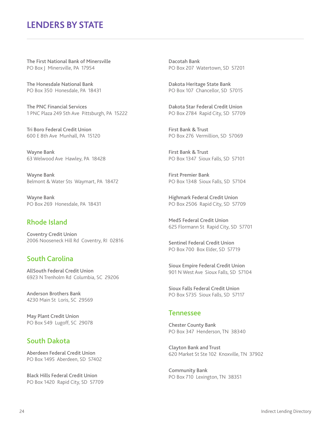The First National Bank of Minersville PO Box | Minersville, PA 17954

The Honesdale National Bank PO Box 350 Honesdale, PA 18431

The PNC Financial Services 1 PNC Plaza 249 5th Ave Pittsburgh, PA 15222

Tri Boro Federal Credit Union 600 E 8th Ave Munhall, PA 15120

Wayne Bank 63 Welwood Ave Hawley, PA 18428

Wayne Bank Belmont & Water Sts Waymart, PA 18472

Wayne Bank PO Box 269 Honesdale, PA 18431

### Rhode Island

Coventry Credit Union 2006 Nooseneck Hill Rd Coventry, RI 02816

### South Carolina

AllSouth Federal Credit Union 6923 N Trenholm Rd Columbia, SC 29206

Anderson Brothers Bank 4230 Main St Loris, SC 29569

May Plant Credit Union PO Box 549 Lugoff, SC 29078

### South Dakota

Aberdeen Federal Credit Union PO Box 1495 Aberdeen, SD 57402

Black Hills Federal Credit Union PO Box 1420 Rapid City, SD 57709 Dacotah Bank PO Box 207 Watertown, SD 57201

Dakota Heritage State Bank PO Box 107 Chancellor, SD 57015

Dakota Star Federal Credit Union PO Box 2784 Rapid City, SD 57709

First Bank & Trust PO Box 276 Vermillion, SD 57069

First Bank & Trust PO Box 1347 Sioux Falls, SD 57101

First Premier Bank PO Box 1348 Sioux Falls, SD 57104

Highmark Federal Credit Union PO Box 2506 Rapid City, SD 57709

Med5 Federal Credit Union 625 Flormann St Rapid City, SD 57701

Sentinel Federal Credit Union PO Box 700 Box Elder, SD 57719

Sioux Empire Federal Credit Union 901 N West Ave Sioux Falls, SD 57104

Sioux Falls Federal Credit Union PO Box 5735 Sioux Falls, SD 57117

#### Tennessee

Chester County Bank PO Box 347 Henderson, TN 38340

Clayton Bank and Trust 620 Market St Ste 102 Knoxville, TN 37902

Community Bank PO Box 710 Lexington, TN 38351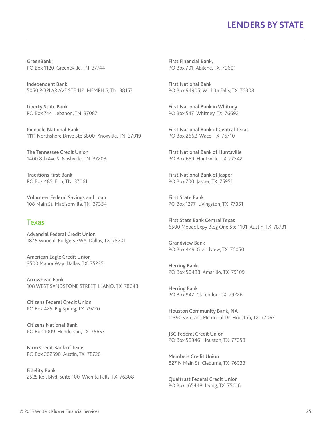GreenBank PO Box 1120 Greeneville, TN 37744

Independent Bank 5050 POPLAR AVE STE 112 MEMPHIS, TN 38157

Liberty State Bank PO Box 744 Lebanon, TN 37087

Pinnacle National Bank 1111 Northshore Drive Ste S800 Knoxville, TN 37919

The Tennessee Credit Union 1400 8th Ave S Nashville, TN 37203

Traditions First Bank PO Box 485 Erin, TN 37061

Volunteer Federal Savings and Loan 108 Main St Madisonville, TN 37354

#### Texas

Advancial Federal Credit Union 1845 Woodall Rodgers FWY Dallas, TX 75201

American Eagle Credit Union 3500 Manor Way Dallas, TX 75235

Arrowhead Bank 108 WEST SANDSTONE STREET LLANO, TX 78643

Citizens Federal Credit Union PO Box 425 Big Spring, TX 79720

Citizens National Bank PO Box 1009 Henderson, TX 75653

Farm Credit Bank of Texas PO Box 202590 Austin, TX 78720

Fidelity Bank 2525 Kell Blvd, Suite 100 Wichita Falls, TX 76308 First Financial Bank, PO Box 701 Abilene, TX 79601

First National Bank PO Box 94905 Wichita Falls, TX 76308

First National Bank in Whitney PO Box 547 Whitney, TX 76692

First National Bank of Central Texas PO Box 2662 Waco, TX 76710

First National Bank of Huntsville PO Box 659 Huntsville, TX 77342

First National Bank of Jasper PO Box 700 Jasper, TX 75951

First State Bank PO Box 1277 Livingston, TX 77351

First State Bank Central Texas 6500 Mopac Expy Bldg One Ste 1101 Austin, TX 78731

Grandview Bank PO Box 449 Grandview, TX 76050

Herring Bank PO Box 50488 Amarillo, TX 79109

Herring Bank PO Box 947 Clarendon, TX 79226

Houston Community Bank, NA 11390 Veterans Memorial Dr Houston, TX 77067

JSC Federal Credit Union PO Box 58346 Houston, TX 77058

Members Credit Union 827 N Main St Cleburne, TX 76033

Qualtrust Federal Credit Union PO Box 165448 Irving, TX 75016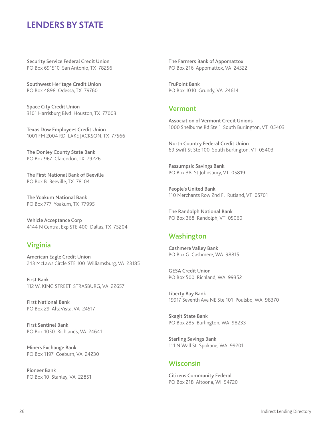Security Service Federal Credit Union PO Box 691510 San Antonio, TX 78256

Southwest Heritage Credit Union PO Box 4898 Odessa, TX 79760

Space City Credit Union 3101 Harrisburg Blvd Houston, TX 77003

Texas Dow Employees Credit Union 1001 FM 2004 RD LAKE JACKSON, TX 77566

The Donley County State Bank PO Box 967 Clarendon, TX 79226

The First National Bank of Beeville PO Box B Beeville, TX 78104

The Yoakum National Bank PO Box 777 Yoakum, TX 77995

Vehicle Acceptance Corp 4144 N Central Exp STE 400 Dallas, TX 75204

### Virginia

American Eagle Credit Union 243 McLaws Circle STE 100 Williamsburg, VA 23185

First Bank 112 W. KING STREET STRASBURG, VA 22657

First National Bank PO Box 29 AltaVista, VA 24517

First Sentinel Bank PO Box 1050 Richlands, VA 24641

Miners Exchange Bank PO Box 1197 Coeburn, VA 24230

Pioneer Bank PO Box 10 Stanley, VA 22851 The Farmers Bank of Appomattox PO Box 216 Appomattox, VA 24522

TruPoint Bank PO Box 1010 Grundy, VA 24614

#### Vermont

Association of Vermont Credit Unions 1000 Shelburne Rd Ste 1 South Burlington, VT 05403

North Country Federal Credit Union 69 Swift St Ste 100 South Burlington, VT 05403

Passumpsic Savings Bank PO Box 38 St Johnsbury, VT 05819

People's United Bank 110 Merchants Row 2nd Fl Rutland, VT 05701

The Randolph National Bank PO Box 368 Randolph, VT 05060

### **Washington**

Cashmere Valley Bank PO Box G Cashmere, WA 98815

GESA Credit Union PO Box 500 Richland, WA 99352

Liberty Bay Bank 19917 Seventh Ave NE Ste 101 Poulsbo, WA 98370

Skagit State Bank PO Box 285 Burlington, WA 98233

Sterling Savings Bank 111 N Wall St Spokane, WA 99201

### Wisconsin

Citizens Community Federal PO Box 218 Altoona, WI 54720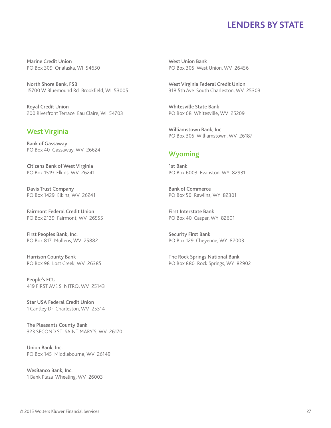Marine Credit Union PO Box 309 Onalaska, WI 54650

North Shore Bank, FSB 15700 W Bluemound Rd Brookfield, WI 53005

Royal Credit Union 200 Riverfront Terrace Eau Claire, WI 54703

### West Virginia

Bank of Gassaway PO Box 40 Gassaway, WV 26624

Citizens Bank of West Virginia PO Box 1519 Elkins, WV 26241

Davis Trust Company PO Box 1429 Elkins, WV 26241

Fairmont Federal Credit Union PO Box 2139 Fairmont, WV 26555

First Peoples Bank, Inc. PO Box 817 Mullens, WV 25882

Harrison County Bank PO Box 98 Lost Creek, WV 26385

People's FCU 419 FIRST AVE S NITRO, WV 25143

Star USA Federal Credit Union 1 Cantley Dr Charleston, WV 25314

The Pleasants County Bank 323 SECOND ST SAINT MARY'S, WV 26170

Union Bank, Inc. PO Box 145 Middlebourne, WV 26149

WesBanco Bank, Inc. 1 Bank Plaza Wheeling, WV 26003 West Union Bank PO Box 305 West Union, WV 26456

West Virginia Federal Credit Union 318 5th Ave South Charleston, WV 25303

Whitesville State Bank PO Box 68 Whitesville, WV 25209

Williamstown Bank, Inc. PO Box 305 Williamstown, WV 26187

### Wyoming

1st Bank PO Box 6003 Evanston, WY 82931

Bank of Commerce PO Box 50 Rawlins, WY 82301

First Interstate Bank PO Box 40 Casper, WY 82601

Security First Bank PO Box 129 Cheyenne, WY 82003

The Rock Springs National Bank PO Box 880 Rock Springs, WY 82902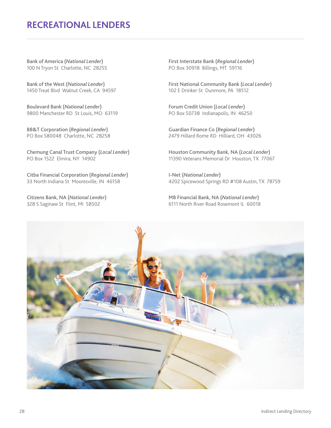# **RECREATIONAL LENDERS**

Bank of America (*National Lender*) 100 N Tryon St Charlotte, NC 28255

Bank of the West (*National Lender*) 1450 Treat Blvd Walnut Creek, CA 94597

Boulevard Bank (*National Lender*) 9800 Manchester RD St Louis, MO 63119

BB&T Corporation (*Regional Lender*) PO Box 580048 Charlotte, NC 28258

Chemung Canal Trust Company (*Local Lender*) PO Box 1522 Elmira, NY 14902

Citba Financial Corporation (*Regional Lender*) 33 North Indiana St Mooresville, IN 46158

Citizens Bank, NA (*National Lender*) 328 S Saginaw St Flint, MI 58502

First Interstate Bank (*Regional Lender*) PO Box 30918 Billings, MT 59116

First National Community Bank (*Local Lender*) 102 E Drinker St Dunmore, PA 18512

Forum Credit Union (*Local Lender*) PO Box 50738 Indianapolis, IN 46250

Guardian Finance Co (*Regional Lender*) 2479 Hillard Rome RD Hilliard, OH 43026

Houston Community Bank, NA (*Local Lender*) 11390 Veterans Memorial Dr Houston, TX 77067

I-Net (*National Lender*) 4202 Spicewood Springs RD #108 Austin, TX 78759

MB Financial Bank, NA (*National Lender*) 6111 North River Road Rosemont IL 60018

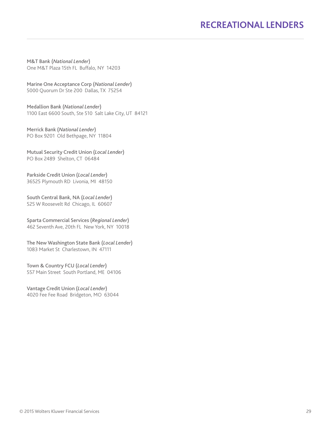# **RECREATIONAL LENDERS**

M&T Bank (*National Lender*) One M&T Plaza 15th FL Buffalo, NY 14203

Marine One Acceptance Corp (*National Lender*) 5000 Quorum Dr Ste 200 Dallas, TX 75254

Medallion Bank (*National Lender*) 1100 East 6600 South, Ste 510 Salt Lake City, UT 84121

Merrick Bank (*National Lender*) PO Box 9201 Old Bethpage, NY 11804

Mutual Security Credit Union (*Local Lender*) PO Box 2489 Shelton, CT 06484

Parkside Credit Union (*Local Lender*) 36525 Plymouth RD Livonia, MI 48150

South Central Bank, NA (*Local Lender*) 525 W Roosevelt Rd Chicago, IL 60607

Sparta Commercial Services (*Regional Lender*) 462 Seventh Ave, 20th FL New York, NY 10018

The New Washington State Bank (*Local Lender*) 1083 Market St Charlestown, IN 47111

Town & Country FCU (*Local Lender*) 557 Main Street South Portland, ME 04106

Vantage Credit Union (*Local Lender*) 4020 Fee Fee Road Bridgeton, MO 63044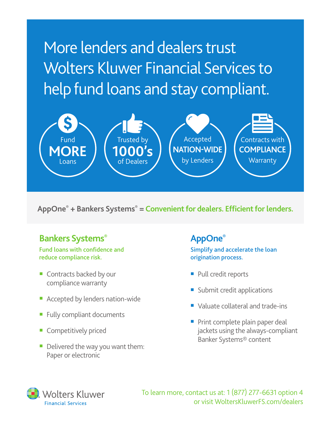More lenders and dealers trust Wolters Kluwer Financial Services to help fund loans and stay compliant.



**AppOne® + Bankers Systems® = Convenient for dealers. Efficient for lenders.**

# **Bankers Systems®**

#### Fund loans with confidence and reduce compliance risk.

- Contracts backed by our compliance warranty
- Accepted by lenders nation-wide
- Fully compliant documents
- Competitively priced
- Delivered the way you want them: Paper or electronic

# **AppOne®**

Simplify and accelerate the loan origination process.

- Pull credit reports
- Submit credit applications
- Valuate collateral and trade-ins
- Print complete plain paper deal jackets using the always-compliant Banker Systems® content



To learn more, contact us at: 1 (877) 277-6631 option 4 or visit WoltersKluwerFS.com/dealers